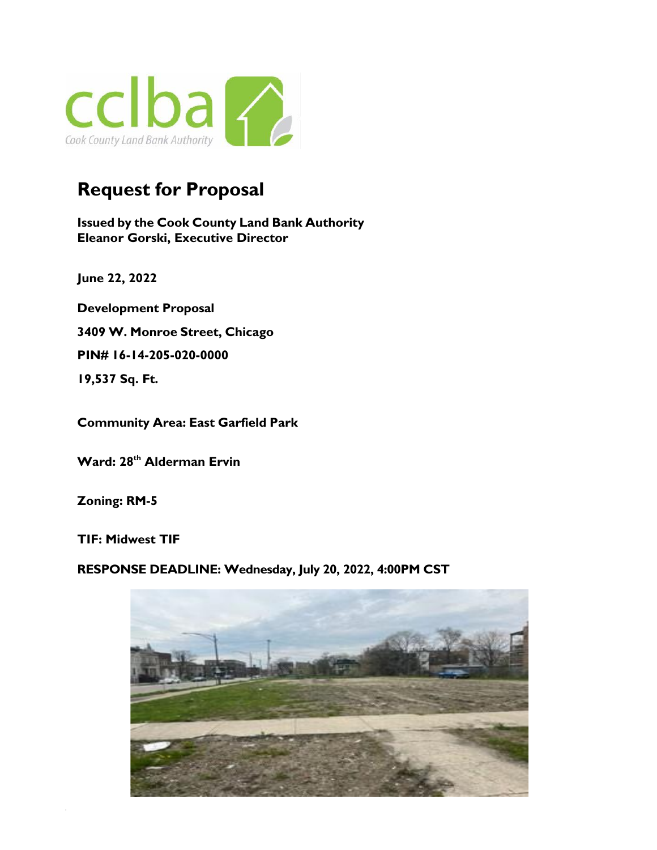

# **Request for Proposal**

**Issued by the Cook County Land Bank Authority Eleanor Gorski, Executive Director**

 **June 22, 2022**

**Development Proposal 3409 W. Monroe Street, Chicago PIN# 16-14-205-020-0000 19,537 Sq. Ft.**

**Community Area: East Garfield Park** 

**Ward: 28th Alderman Ervin**

**Zoning: RM-5**

**TIF: Midwest TIF**

**RESPONSE DEADLINE: Wednesday, July 20, 2022, 4:00PM CST**

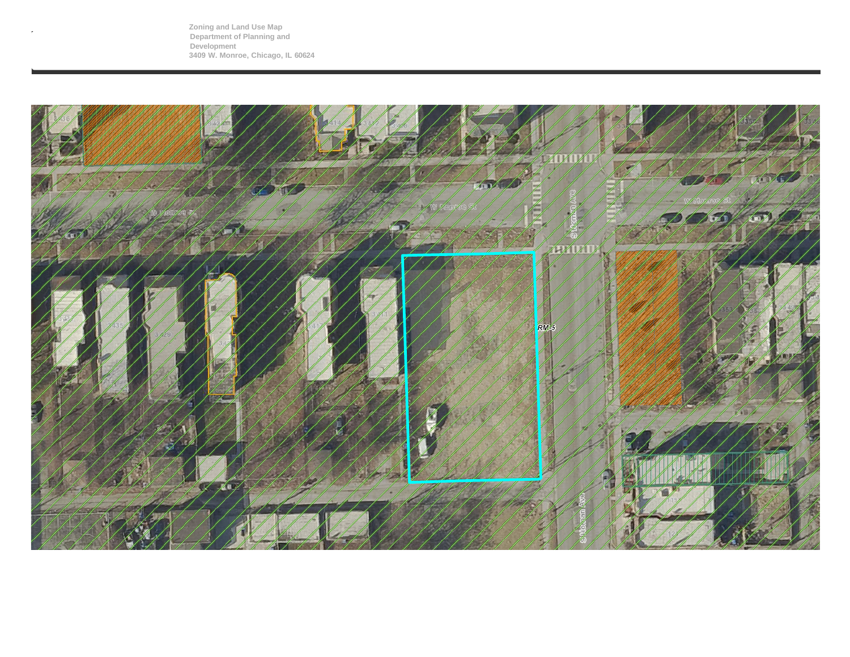**Zoning and Land Use Map Department of Planning and Development 3409 W. Monroe, Chicago, IL 60624**

 $\bar{r}$ 

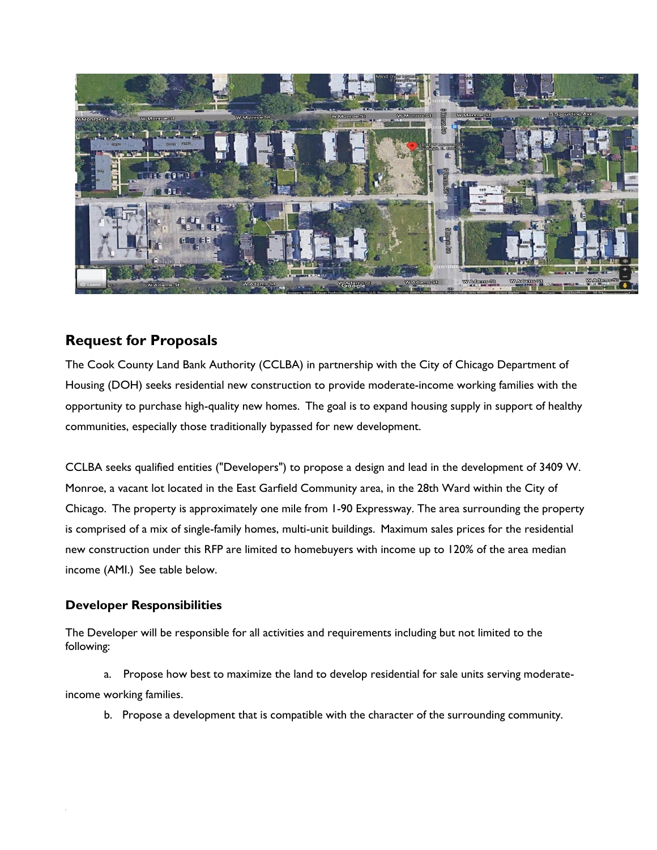

## **Request for Proposals**

The Cook County Land Bank Authority (CCLBA) in partnership with the City of Chicago Department of Housing (DOH) seeks residential new construction to provide moderate-income working families with the opportunity to purchase high-quality new homes. The goal is to expand housing supply in support of healthy communities, especially those traditionally bypassed for new development.

CCLBA seeks qualified entities ("Developers") to propose a design and lead in the development of 3409 W. Monroe, a vacant lot located in the East Garfield Community area, in the 28th Ward within the City of Chicago. The property is approximately one mile from 1-90 Expressway. The area surrounding the property is comprised of a mix of single-family homes, multi-unit buildings. Maximum sales prices for the residential new construction under this RFP are limited to homebuyers with income up to 120% of the area median income (AMI.) See table below.

### **Developer Responsibilities**

The Developer will be responsible for all activities and requirements including but not limited to the following:

a. Propose how best to maximize the land to develop residential for sale units serving moderateincome working families.

b. Propose a development that is compatible with the character of the surrounding community.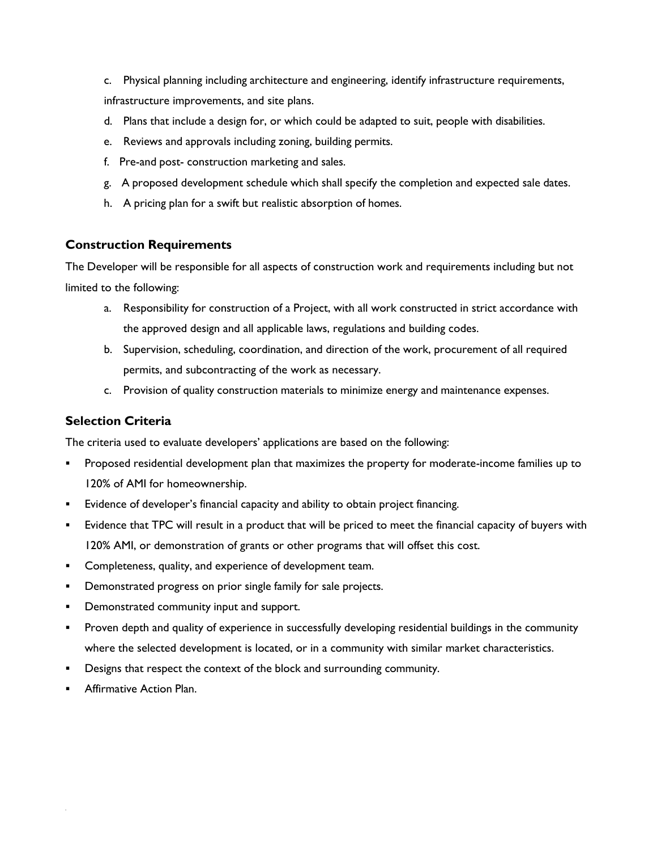- c. Physical planning including architecture and engineering, identify infrastructure requirements, infrastructure improvements, and site plans.
- d. Plans that include a design for, or which could be adapted to suit, people with disabilities.
- e. Reviews and approvals including zoning, building permits.
- f. Pre-and post- construction marketing and sales.
- g. A proposed development schedule which shall specify the completion and expected sale dates.
- h. A pricing plan for a swift but realistic absorption of homes.

#### **Construction Requirements**

The Developer will be responsible for all aspects of construction work and requirements including but not limited to the following:

- a. Responsibility for construction of a Project, with all work constructed in strict accordance with the approved design and all applicable laws, regulations and building codes.
- b. Supervision, scheduling, coordination, and direction of the work, procurement of all required permits, and subcontracting of the work as necessary.
- c. Provision of quality construction materials to minimize energy and maintenance expenses.

#### **Selection Criteria**

The criteria used to evaluate developers' applications are based on the following:

- Proposed residential development plan that maximizes the property for moderate-income families up to 120% of AMI for homeownership.
- **Exidence of developer's financial capacity and ability to obtain project financing.**
- **Exidence that TPC will result in a product that will be priced to meet the financial capacity of buyers with** 120% AMI, or demonstration of grants or other programs that will offset this cost.
- Completeness, quality, and experience of development team.
- **•** Demonstrated progress on prior single family for sale projects.
- **•** Demonstrated community input and support.
- Proven depth and quality of experience in successfully developing residential buildings in the community where the selected development is located, or in a community with similar market characteristics.
- Designs that respect the context of the block and surrounding community.
- Affirmative Action Plan.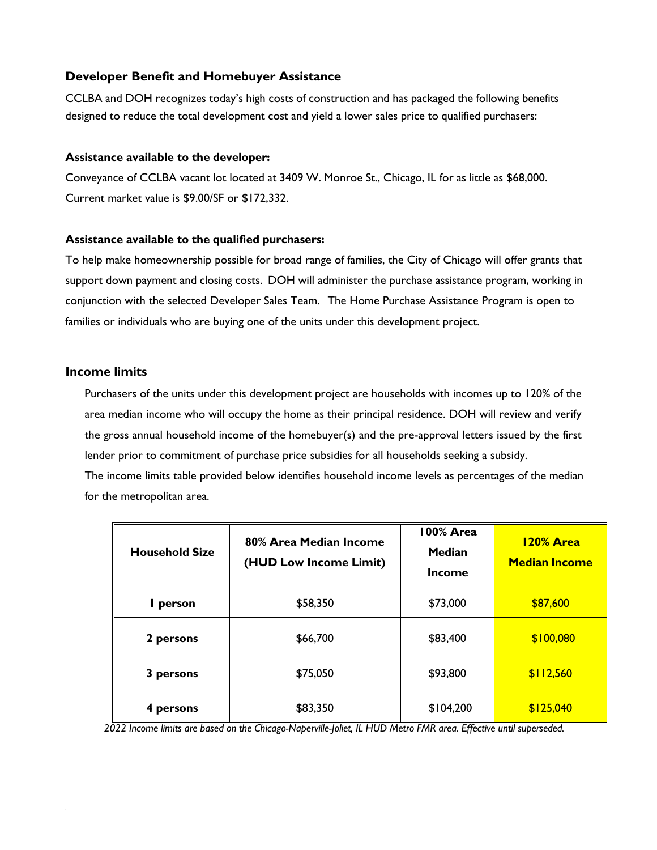#### **Developer Benefit and Homebuyer Assistance**

CCLBA and DOH recognizes today's high costs of construction and has packaged the following benefits designed to reduce the total development cost and yield a lower sales price to qualified purchasers:

#### **Assistance available to the developer:**

Conveyance of CCLBA vacant lot located at 3409 W. Monroe St., Chicago, IL for as little as \$68,000. Current market value is \$9.00/SF or \$172,332.

#### **Assistance available to the qualified purchasers:**

To help make homeownership possible for broad range of families, the City of Chicago will offer grants that support down payment and closing costs. DOH will administer the purchase assistance program, working in conjunction with the selected Developer Sales Team. The Home Purchase Assistance Program is open to families or individuals who are buying one of the units under this development project.

#### **Income limits**

Purchasers of the units under this development project are households with incomes up to 120% of the area median income who will occupy the home as their principal residence. DOH will review and verify the gross annual household income of the homebuyer(s) and the pre-approval letters issued by the first lender prior to commitment of purchase price subsidies for all households seeking a subsidy.

The income limits table provided below identifies household income levels as percentages of the median for the metropolitan area.

| <b>Household Size</b> | 80% Area Median Income<br>(HUD Low Income Limit) | 100% Area<br><b>Median</b><br><b>Income</b> | <b>120% Area</b><br><b>Median Income</b> |
|-----------------------|--------------------------------------------------|---------------------------------------------|------------------------------------------|
| person                | \$58,350                                         | \$73,000                                    | \$87,600                                 |
| 2 persons             | \$66,700                                         | \$83,400                                    | \$100,080                                |
| 3 persons             | \$75,050                                         | \$93,800                                    | \$112,560                                |
| 4 persons             | \$83,350                                         | \$104,200                                   | \$125,040                                |

2022 Income limits are based on the Chicago-Naperville-Joliet, IL HUD Metro FMR area. Effective until superseded.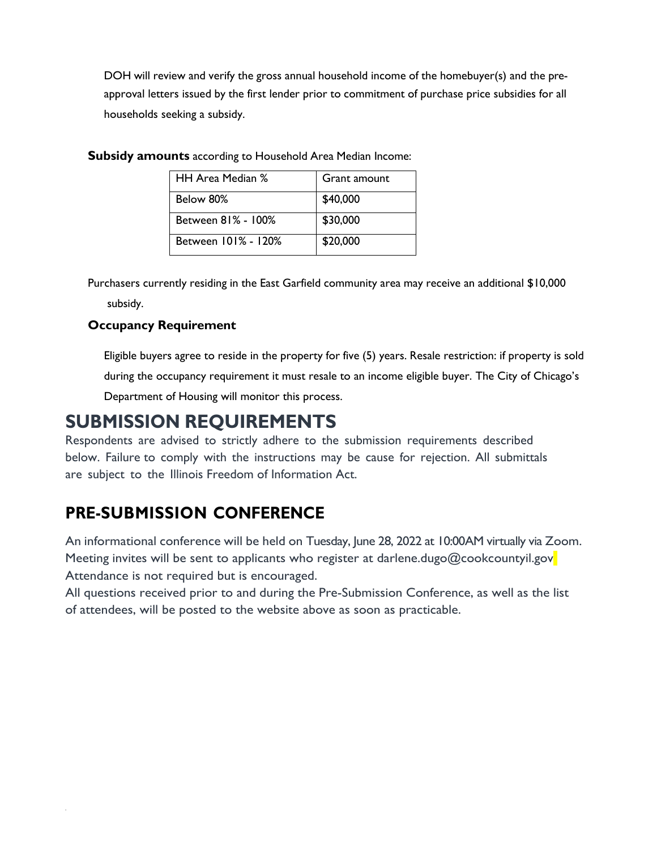DOH will review and verify the gross annual household income of the homebuyer(s) and the preapproval letters issued by the first lender prior to commitment of purchase price subsidies for all households seeking a subsidy.

| HH Area Median %    | Grant amount |  |
|---------------------|--------------|--|
| Below 80%           | \$40,000     |  |
| Between 81% - 100%  | \$30,000     |  |
| Between 101% - 120% | \$20,000     |  |

**Subsidy amounts** according to Household Area Median Income:

Purchasers currently residing in the East Garfield community area may receive an additional \$10,000 subsidy.

## **Occupancy Requirement**

Eligible buyers agree to reside in the property for five (5) years. Resale restriction: if property is sold during the occupancy requirement it must resale to an income eligible buyer. The City of Chicago's Department of Housing will monitor this process.

# **SUBMISSION REQUIREMENTS**

Respondents are advised to strictly adhere to the submission requirements described below. Failure to comply with the instructions may be cause for rejection. All submittals are subject to the Illinois Freedom of Information Act.

# **PRE-SUBMISSION CONFERENCE**

An informational conference will be held on Tuesday, June 28, 2022 at 10:00AM virtually via Zoom. Meeting invites will be sent to applicants who register at darlene.dugo@cookcountyil.gov Attendance is not required but is encouraged.

All questions received prior to and during the Pre-Submission Conference, as well as the list of attendees, will be posted to the website above as soon as practicable.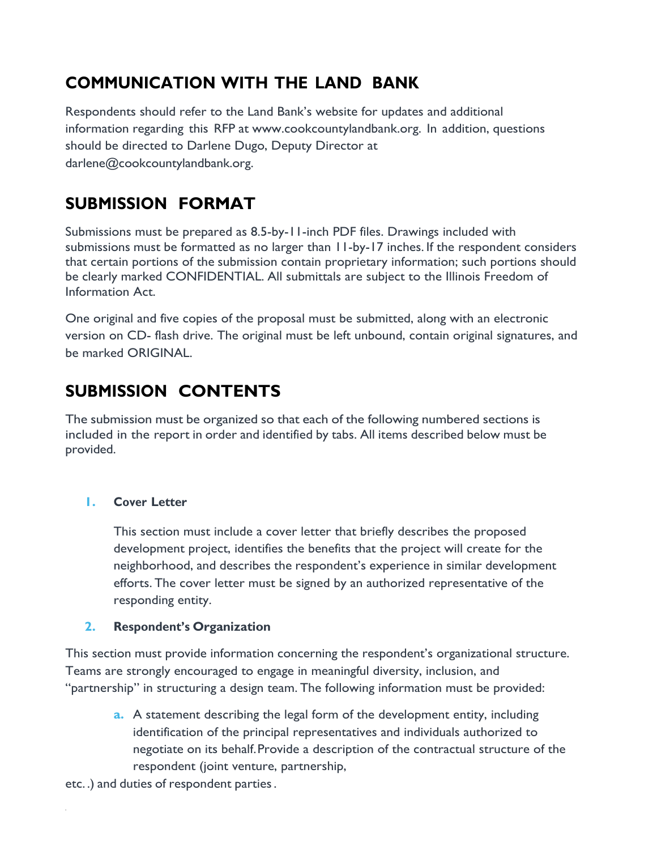# **COMMUNICATION WITH THE LAND BANK**

Respondents should refer to the Land Bank's website for updates and additional information regarding this RFP at [www.cookcountylandbank.org.](http://www.cookcountylandbank.org/) In addition, questions should be directed to Darlene Dugo, Deputy Director at [darlene@cookcountylandbank.org.](mailto:darlene@cookcountylandbank.org)

# **SUBMISSION FORMAT**

Submissions must be prepared as 8.5-by-11-inch PDF files. Drawings included with submissions must be formatted as no larger than 11-by-17 inches. If the respondent considers that certain portions of the submission contain proprietary information; such portions should be clearly marked CONFIDENTIAL. All submittals are subject to the Illinois Freedom of Information Act.

One original and five copies of the proposal must be submitted, along with an electronic version on CD- flash drive. The original must be left unbound, contain original signatures, and be marked ORIGINAL.

# **SUBMISSION CONTENTS**

The submission must be organized so that each of the following numbered sections is included in the report in order and identified by tabs. All items described below must be provided.

## **1. Cover Letter**

This section must include a cover letter that briefly describes the proposed development project, identifies the benefits that the project will create for the neighborhood, and describes the respondent's experience in similar development efforts. The cover letter must be signed by an authorized representative of the responding entity.

## **2. Respondent's Organization**

This section must provide information concerning the respondent's organizational structure. Teams are strongly encouraged to engage in meaningful diversity, inclusion, and "partnership" in structuring a design team. The following information must be provided:

**a.** A statement describing the legal form of the development entity, including identification of the principal representatives and individuals authorized to negotiate on its behalf.Provide a description of the contractual structure of the respondent (joint venture, partnership,

etc. .) and duties of respondent parties.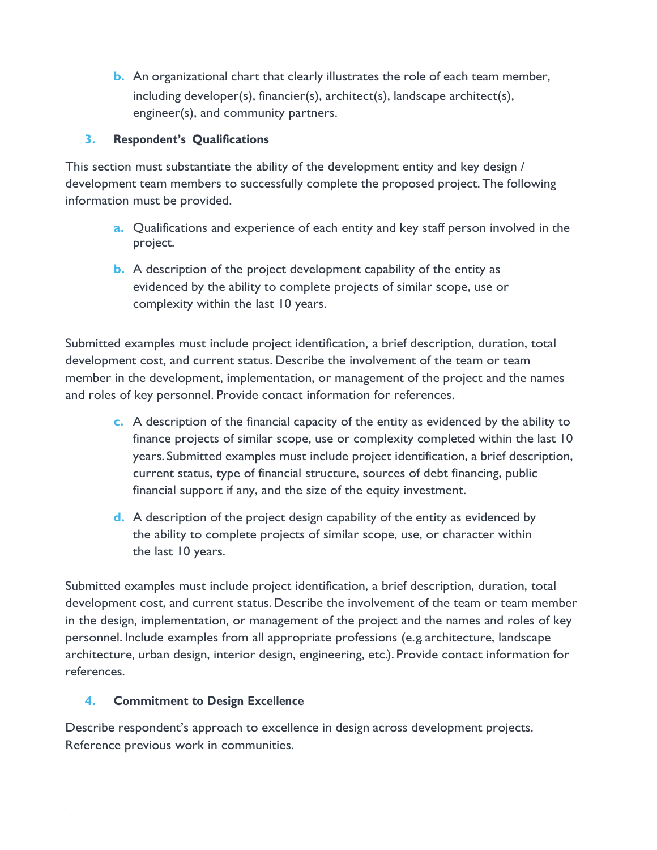**b.** An organizational chart that clearly illustrates the role of each team member, including developer(s), financier(s), architect(s), landscape architect(s), engineer(s), and community partners.

### **3. Respondent's Qualifications**

This section must substantiate the ability of the development entity and key design / development team members to successfully complete the proposed project.The following information must be provided.

- **a.** Qualifications and experience of each entity and key staff person involved in the project.
- **b.** A description of the project development capability of the entity as evidenced by the ability to complete projects of similar scope, use or complexity within the last 10 years.

Submitted examples must include project identification, a brief description, duration, total development cost, and current status. Describe the involvement of the team or team member in the development, implementation, or management of the project and the names and roles of key personnel. Provide contact information for references.

- **c.** A description of the financial capacity of the entity as evidenced by the ability to finance projects of similar scope, use or complexity completed within the last 10 years. Submitted examples must include project identification, a brief description, current status, type of financial structure, sources of debt financing, public financial support if any, and the size of the equity investment.
- **d.** A description of the project design capability of the entity as evidenced by the ability to complete projects of similar scope, use, or character within the last 10 years.

Submitted examples must include project identification, a brief description, duration, total development cost, and current status.Describe the involvement of the team or team member in the design, implementation, or management of the project and the names and roles of key personnel. Include examples from all appropriate professions (e. g. architecture, landscape architecture, urban design, interior design, engineering, etc.). Provide contact information for references.

### **4. Commitment to Design Excellence**

Describe respondent's approach to excellence in design across development projects. Reference previous work in communities.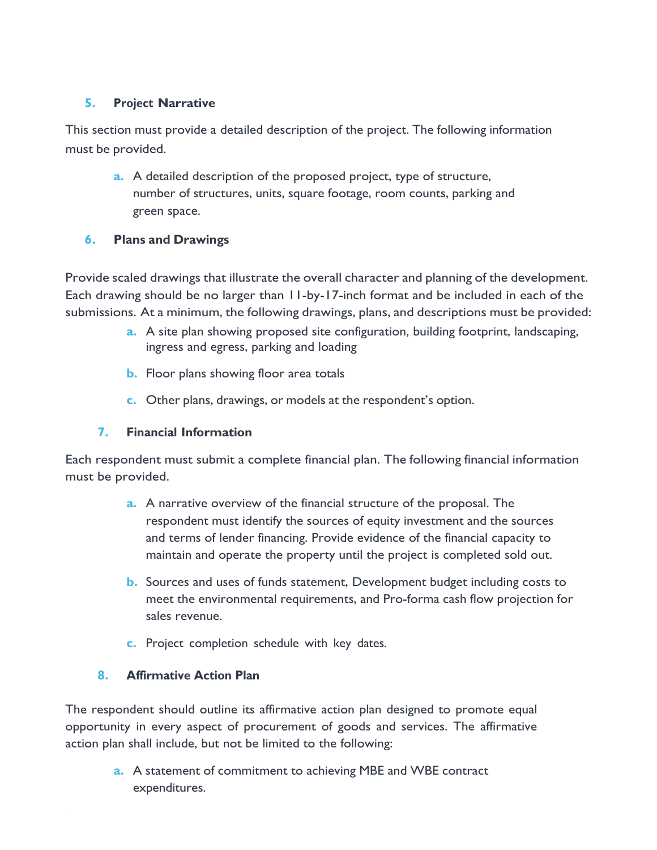## **5. Project Narrative**

This section must provide a detailed description of the project. The following information must be provided.

**a.** A detailed description of the proposed project, type of structure, number of structures, units, square footage, room counts, parking and green space.

## **6. Plans and Drawings**

Provide scaled drawings that illustrate the overall character and planning of the development. Each drawing should be no larger than 11-by-17-inch format and be included in each of the submissions. At a minimum, the following drawings, plans, and descriptions must be provided:

- **a.** A site plan showing proposed site configuration, building footprint, landscaping, ingress and egress, parking and loading
- **b.** Floor plans showing floor area totals
- **c.** Other plans, drawings, or models at the respondent's option.

## **7. Financial Information**

Each respondent must submit a complete financial plan. The following financial information must be provided.

- **a.** A narrative overview of the financial structure of the proposal. The respondent must identify the sources of equity investment and the sources and terms of lender financing. Provide evidence of the financial capacity to maintain and operate the property until the project is completed sold out.
- **b.** Sources and uses of funds statement, Development budget including costs to meet the environmental requirements, and Pro-forma cash flow projection for sales revenue.
- **c.** Project completion schedule with key dates.

## **8. Affirmative Action Plan**

The respondent should outline its affirmative action plan designed to promote equal opportunity in every aspect of procurement of goods and services. The affirmative action plan shall include, but not be limited to the following:

> **a.** A statement of commitment to achieving MBE and WBE contract expenditures.